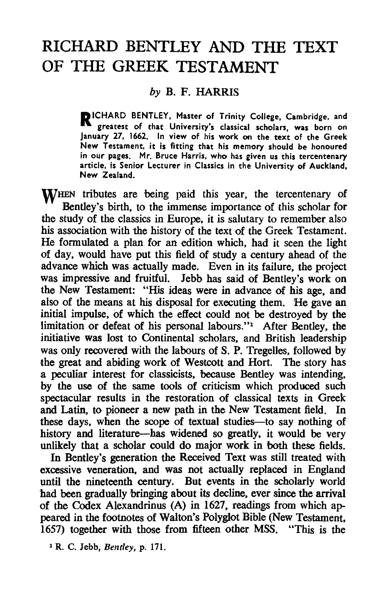## **RICHARD BENTLEY AND THE TEXT OF THE GREEK TESTAMENT**

## *by* B. F. HARRIS

RICHARD BENTLEY, Master of Trinity College, Cambridge, and greatest of that University's classical scholars, was born on January 27, 1662. In view of his work on the text of the Greek New Testament, it is fitting that his memory should be honoured in our pages. Mr. Bruce Harris, who has given us this tercentenary article, is Senior Lecturer in Classics in the University of Auckland, New Zealand.

WHEN tributes are being paid this year, the tercentenary of Bentley's birth, to the immense importance of this scholar for the study of the classics in Europe, it is salutary to remember also his association with the history of the text of the Greek Testament. He formulated a plan for an edition which, had it seen the light of day, would have put this field of study a century ahead of the advance which was actually made. Even in its failure, the project was impressive and fruitful. Jebb has said of Bentley's work on the New Testament: "His ideas were in advance of his age, and also of the means at his disposal for executing them. He gave an initial impulse, of which the effect could not be destroyed by the limitation or defeat of his personal labours."<sup>1</sup> After Bentley, the initiative was lost to Continental scholars, and British leadership was only recovered with the labours of S. P. Tregelles, followed by the great and abiding work of Westcott and Hort. The story has a peculiar interest for classicists, because Bentley was intending, by the use of the same tools of criticism which produced such spectacular results in the restoration of classical texts in Greek and Latin, to pioneer a new path in the New Testament field. In these days, when the scope of textual studies-to say nothing of history and literature-has widened so greatly, it would be very unlikely that a scholar could do major work in 'both these fields.

In Bentley's generation the Received Text was still treated with excessive veneration, and was not actually replaced in England until the nineteenth century. But events in the scholarly world had been gradually bringing about its decline. ever since the arrival of the Codex Alexandrinus (A) in 1627. readings from which appeared in the footnotes of Walton's Polyglot Bible (New Testament, 1657) together with those from fifteen other MSS. "This is the

<sup>1</sup> R. C. Jebb, *Bentley,* p. 171.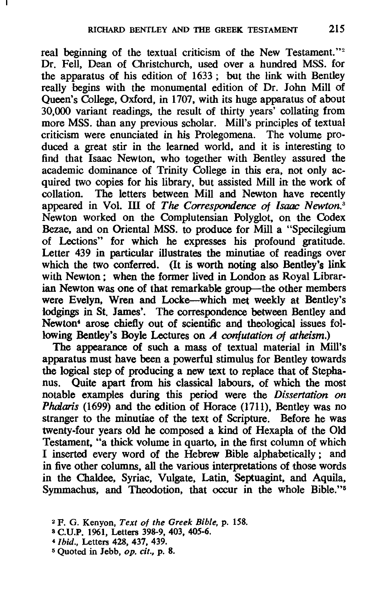real beginning of the textual criticism of the New Testament."<sup>2</sup> Dr. Fell, Dean of Christchurch, used over a hundred MSS. for the apparatus of his edition of 1633; but the link with Bentley really begins with the monumental edition of Dr. John Mill of Queen's College, Oxford, in 1707, with its huge apparatus of about 30,000 variant readings, the result of thirty years' collating from more MSS. than any previous scholar. Mill's principles of textual criticism were enunciated in his Prolegomena. The volume produced a great stir in the learned world, and it is interesting to find that Isaac Newton, who together with Bentley assured the academic dominance of Trinity College in this era, not only acquired two copies for his library, but assisted Mill in the work of collation. The letters between Mill and Newton have recently appeared in Vol. III of *The Correspondence of Isaac Newton. <sup>3</sup>* Newton worked on the Complutensian Polyglot, on the Codex Bezae, and on Oriental MSS. to produce for Mill a "Specilegium of Lections" for which he expresses his profound gratitude. Letter 439 in particular illustrates the minutiae of readings over which the two conferred. (It is worth noting also Bentley's link with Newton; when the former lived in London as Royal Librarian Newton was one of that remarkable group-the other members were Evelyn, Wren and Locke--which met weekly at Bentley's lodgings in St. James'. The correspondence between Bentley and Newton<sup>4</sup> arose chiefly out of scientific and theological issues following Bentley's Boyle Lectures on A *confutation of atheism.)* 

The appearance of such a mass of textual material in Mill's apparatus must have been a powerful stimulus for Bentley towards the logical step of producing a new text to replace that of Stephanus. Quite apart from his classical labours, of which the most notable examples during this period were the *Dissertation on Phalaris* (1699) and the edition of Horace (1711), Bentley was no stranger to the minutiae of the text of Scripture. Before he was twenty-four years old he composed a kind of Hexapla of the Old Testament, "a thick volume in quarto, in the first column of which I inserted every word of the Hebrew Bible alpha'betically; and in five other columns, all the various interpretations of those words in the Chaldee, Syriac, Vulgate, Latin, Septuagint, and Aquila, Symmachus, and Theodotion, that occur in the whole Bible."<sup>5</sup>

<sup>4</sup>*Ibid.,* Letters 428, 437, 439.

<sup>2</sup> F. G. Kenyon, *Text of the Greek Bible,* p. 158.

<sup>8</sup> C.U.P. 1961, Letters 398-9, 403, 405-6.

<sup>5</sup> Quoted in Jebb, op. *cit.,* p. 8.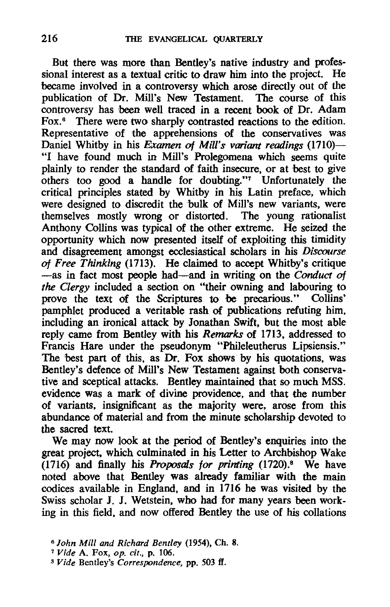But there was more than Bentley's native industry and professional interest as a textual critic to draw him into the project. He became involved in a controversy which arose directly out of the publication of Dr. Mill's New Testament. The course of this controversy has been well traced in a recent book of Dr. Adam Fox.<sup>6</sup> There were two sharply contrasted reactions to the edition. Representative of the apprehensions of the conservatives was Daniel Whitby in his *Examen* of *Mill's variant readings (1710)-* "I have found much in Mill's Prolegomena which seems quite plainly to render the standard of faith insecure, or at best to give others too good a handle for doubting."7 Unfortunately the critical principles stated by Whitby in his Latin preface, which were designed to discredit the bulk of Mill's new variants, were themselves mostly wrong or distorted. The young rationalist Anthony CoIlins was typical of the other extreme. He seized the opportunity which now presented itself of exploiting this timidity and disagreement amongst ecclesiastical scholars in his *Discourse*  of *Free Thinking* (1713). He claimed to accept Whitby's critique -as in fact most people had-and in writing on the *Conduct* of *the Clergy* included a section on "their owning and labouring to prove the text of the Scriptures to be precarious." CoIlins' pamphlet produced a veritable rash of publications refuting him. including an ironical attack by Jonathan Swift, but the most able reply came from Bentley with his *Remarks* of 1713, addressed to Francis Hare under the pseudonym "Phileleutherus Lipsiensis." The best part of this, as Dr. Fox shows by his quotations, was Bentley's defence of Mill's New Testament against both conservative and sceptical attacks. Bentley maintained that so much MSS. evidence was a mark of divine providence, and that the number of variants, insignificant as the majority were, arose from this abundance of material and from the minute scholarship devoted to the sacred text.

We may now look at the period of Bentley's enquiries into the great project, which culminated in his Letter to Archbishop Wake  $(1716)$  and finally his *Proposals for printing*  $(1720)$ .<sup>8</sup> We have noted above that Bentley was already familiar with the main codices available in England, and in 1716 he was visited by the Swiss scholar J. J. Wetstein, who had for many years been working in this field, and now offered Bentley the use of his collations

*<sup>6</sup> John Mill and Richard Bentley* (1954). Ch. 8.

<sup>7</sup>*Vide* A. Fox. *op. cit.,* p. 106.

S *Vide* Bentley's *Correspondence,* pp. 503 if.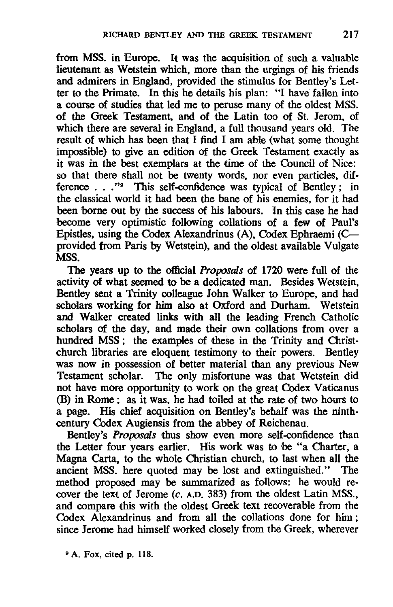from MSS. in Europe. It was the acquisition of such a valuable lieutenant as Wetstein which, more than the urgings of his friends and admirers in England, provided the stimulus for Bentley's Letter to the Primate. In this he details his plan: "I have fallen into a course of studies that led me to peruse many of the oldest MSS. of the Greek Testament, and of the Latin too of St. Jerom, of which there are several in England, a full thousand years old. The result of which has been that I find I am able (what some thought impossible) to give an edition of the Greek Testament exactly as it was in the best exemplars at the time of the Council of Nice: so that there shall not be twenty words, nor even particles, difference . . ."<sup>9</sup> This self-confidence was typical of Bentley; in the classical world it had been the bane of his enemies, for it had been borne out by the success of his labours. !In this case he had become very optimistic following collations of a few of Paul's Epistles, using the Codex Alexandrinus (A), Codex Ephraemi (Cprovided from Paris by Wetstein), and the oldest available Vulgate MSS.

The years up to the official *Proposals* of 1720 were full of the activity of what seemed to be a dedicated man. Besides Wetstein, Bentley sent a Trinity colleague John Walker to Europe, and had scholars working for him also at Oxford and Durham. Wetstein and Walker created links with all the leading French Catholic scholars of the day, and made their own collations from over a hundred MSS; the examples of these in the Trinity and Christchurch libraries are eloquent testimony to their powers. Bentley was now in possession of better material than any previous New Testament scholar. The only misfortune was that Wetstein did not have more opportunity to work on the great Codex Vaticanus (B) in Rome; as it was, he had toiled at the rate of two hours to a page. His chief acquisition on Bentley's behalf was the ninthcentury Codex Augiensis from the abbey of Reichenau.

Bentley's *Proposals* thus show even more self-confidence than the Letter four years earlier. His work was to be "a Charter, a Magna Carta, to the whole Christian church, to last when all the ancient MSS. here quoted may be lost and extinguished." The method proposed may be summarized as follows: he would recover the text of Jerome (c. A.D. 383) from the oldest Latin MSS., and compare this with the oldest Greek text recoverable from the Codex Alexandrinus and from all the collations done for him; since Jerome had himself worked closely from the Greek, wherever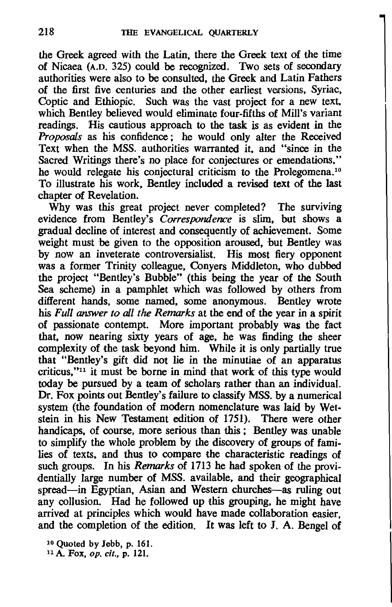the Greek agreed with the Latin, there the Greek text of the time of Nicaea (A.D. 325) could be recognized. Two sets of secondary authorities were also to be consulted, the Greek and Latin Fathers of the first five centuries and the other earliest versions, Syriac, Coptic and Ethiopic. Such was the vast project for a new text. which Bentley believed would eliminate four-fifths of Mill's variant readings. His cautious approach to the task is as evident in the *Proposals* as his confidence; he would only alter the Received Text when the MSS. authorities warranted it. and "since in the Sacred Writings there's no place for conjectures or emendations," he would relegate his conjectural criticism to the Prolegomena.<sup>10</sup> To illustrate his work, Bentley included a revised text of the last chapter of Revelation.

Why was this great project never completed? The surviving evidence from Bentley's *Correspondence is* slim, but shows a gradual decline of interest and consequently of achievement. Some weight must be given to the opposition aroused, but Bentley was by now an inveterate controversialist. His most fiery opponent . was a former Trinity colleague, Conyers Middleton, who dubbed the project "Bentley's Bubble" (this being the year of the South Sea scheme) in a pamphlet which was followed by others from different hands, some named, some anonymous. Bentley wrote his *Full* answer *to all the Remarks* at the end of the year in a spirit of passionate contempt. More important probably was the fact that. now nearing sixty years of age, he was finding the sheer complexity of the task beyond him. While it is only partially true that "Bentley's gift did not lie in the minutiae of an apparatus criticus,"11 it must be borne in mind that work of this type would today be pursued by a team of scholars rather than an individual. Dr. Fox points out Bentley's failure to classify MSS. by a numerical system (the foundation of modern nomenclature was laid by Wetstein in his New Testament edition of 1751). There were other handicaps. of course, more serious than this; Bentley was unable to simplify the whole problem by the discovery of groups of families of texts, and thus to compare the characteristic readings of such groups. In his *Remarks* of 1713 he had spoken of the providentially large number of MSS. available, and their geographical spread-in Egyptian, Asian and Western churches-as ruling out any collusion. Had he followed up this grouping, he might have arrived at principles which would have made collaboration easier, and the completion of the edition. It was left to J. A. Bengel of

10 Quoted by Jebb, p. 161.

11 A. Fox, *op. cit.,* p. 121.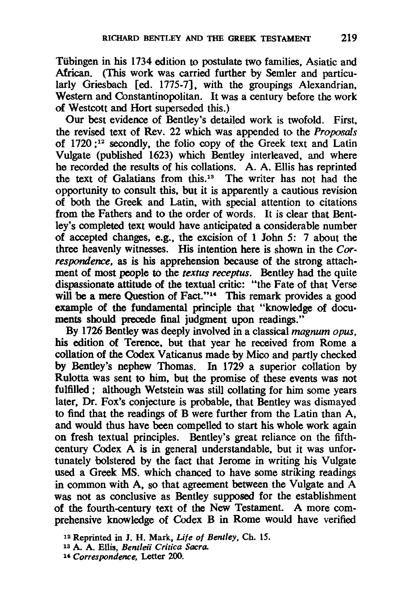Tiibingen in his 1734 edition to postulate two families, Asiatic and African. (This work was carried further by Semler and particularly Griesbach [ed. 1775-7], with the groupings Alexandrian, Western and Constantinopolitan. It was a century before the work of Westcott and Hort superseded this.)

Our best evidence of Bentley's detailed work is twofold. First, the revised text of Rev. 22 which was appended to the Proposals of  $1720$ ;<sup>12</sup> secondly, the folio copy of the Greek text and Latin Vulgate (published 1623) which Bentley interleaved, and where he recorded the results of his collations. A. A. Ellis has reprinted the text of Galatians from this.<sup>13</sup> The writer has not had the opportunity to consult this, but it is apparently a cautious revision of both the Greek and Latin, with special attention to citations from the Fathers and to the order of words. It is clear that Bentley's completed text would have anticipated a considerable number of accepted changes, e.g., the excision of 1 John 5: 7 about the three heavenly witnesses. His intention here is shown in the *Correspondence.* as is his apprehension because of the strong attachment of most people to the *textus receptus.* Bentley had the quite dispassionate attitude of the textual critic: "the Fate of that Verse will be a mere Question of Fact."<sup>14</sup> This remark provides a good example of the fundamental principle that "knowledge of documents should precede final judgment upon readings."

By 1726 Bentley was deeply involved in a classical magnum opus. his edition of Terence. but that year he received from Rome a collation of the Codex Vaticanus made by Mico and partly checked by Bentley's nephew Thomas. In 1729 a superior collation by Rulotta was sent to him. but the promise of these events was not fulfilled; although Wetstein was still collating for him some years later. Dr. Fox's conjecture is probable. that Bentley was dismayed to find that the readings of B were further from the Latin than A. and would thus have been compelled to start his whole work again on fresh textual principles. Bentley's great reliance on the fifthcentury Codex A is in general understandable. but it was unfortunately bolstered by the fact that Jerome in writing his Vulgate used a Greek MS. which chanced to have some striking readings in common with A. so that agreement between the Vulgate and A was not as conclusive as Bentley supposed for the establishment of the fourth-century text of the New Testament. A more comprehensive knowledge of Codex B in Rome would have verified

<sup>12</sup> Reprinted in J. H. Mark. *Life of Bentley,* Ch. 15.

<sup>13</sup> A.. A. Ellis, *Bentleii Critica Sacra.* 

<sup>14</sup> *Correspondence,* Letter *ZOO.*